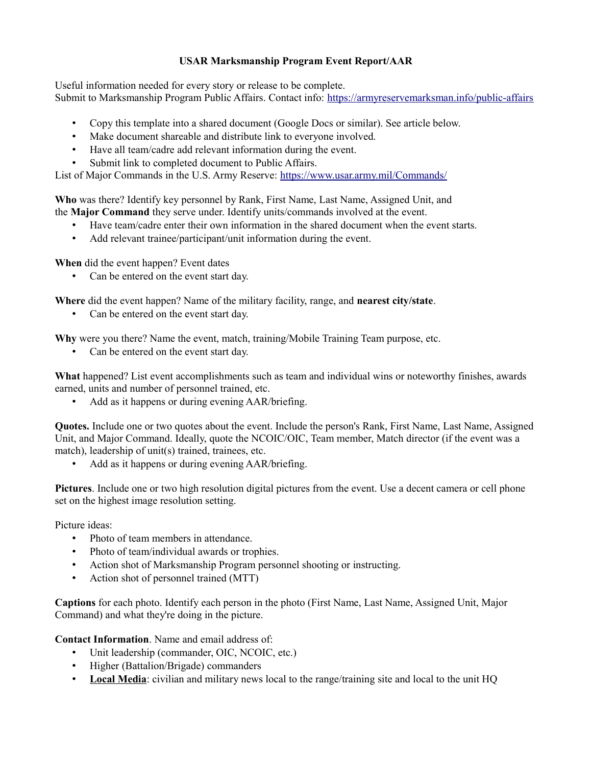#### **USAR Marksmanship Program Event Report/AAR**

Useful information needed for every story or release to be complete. Submit to Marksmanship Program Public Affairs. Contact info: [https://armyreservemarksman.info/public-affairs](https://armyreservemarksman.info/public-affairs/)

- Copy this template into a shared document (Google Docs or similar). See article below.
- Make document shareable and distribute link to everyone involved.
- Have all team/cadre add relevant information during the event.
- Submit link to completed document to Public Affairs.

List of Major Commands in the U.S. Army Reserve:<https://www.usar.army.mil/Commands/>

**Who** was there? Identify key personnel by Rank, First Name, Last Name, Assigned Unit, and the **Major Command** they serve under. Identify units/commands involved at the event.

- Have team/cadre enter their own information in the shared document when the event starts.
- Add relevant trainee/participant/unit information during the event.

**When** did the event happen? Event dates

• Can be entered on the event start day.

**Where** did the event happen? Name of the military facility, range, and **nearest city/state**.

Can be entered on the event start day.

**Why** were you there? Name the event, match, training/Mobile Training Team purpose, etc.

• Can be entered on the event start day.

**What** happened? List event accomplishments such as team and individual wins or noteworthy finishes, awards earned, units and number of personnel trained, etc.

• Add as it happens or during evening AAR/briefing.

**Quotes.** Include one or two quotes about the event. Include the person's Rank, First Name, Last Name, Assigned Unit, and Major Command. Ideally, quote the NCOIC/OIC, Team member, Match director (if the event was a match), leadership of unit(s) trained, trainees, etc.

• Add as it happens or during evening AAR/briefing.

**Pictures**. Include one or two high resolution digital pictures from the event. Use a decent camera or cell phone set on the highest image resolution setting.

Picture ideas:

- Photo of team members in attendance.
- Photo of team/individual awards or trophies.
- Action shot of Marksmanship Program personnel shooting or instructing.
- Action shot of personnel trained (MTT)

**Captions** for each photo. Identify each person in the photo (First Name, Last Name, Assigned Unit, Major Command) and what they're doing in the picture.

**Contact Information**. Name and email address of:

- Unit leadership (commander, OIC, NCOIC, etc.)
- Higher (Battalion/Brigade) commanders
- Local Media: civilian and military news local to the range/training site and local to the unit HQ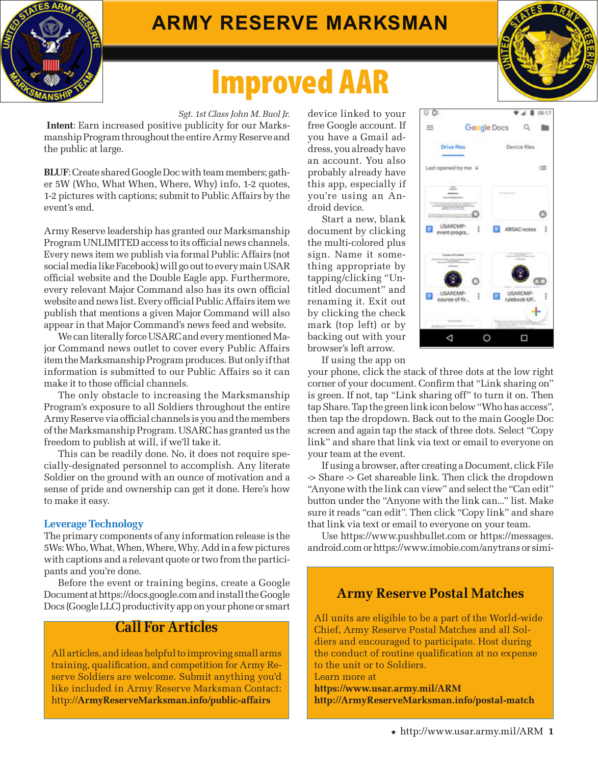

# **Army Reserve Marksman**

# Improved AAR

*Sgt. 1st Class John M. Buol Jr.*  **Intent**: Earn increased positive publicity for our Marksmanship Program throughout the entire Army Reserve and the public at large.

**BLUF**: Create shared Google Doc with team members; gather 5W (Who, What When, Where, Why) info, 1-2 quotes, 1-2 pictures with captions; submit to Public Affairs by the event's end.

Army Reserve leadership has granted our Marksmanship Program UNLIMITED access to its official news channels. Every news item we publish via formal Public Affairs (not social media like Facebook) will go out to every main USAR official website and the Double Eagle app. Furthermore, every relevant Major Command also has its own official website and news list. Every official Public Affairs item we publish that mentions a given Major Command will also appear in that Major Command's news feed and website.

We can literally force USARC and every mentioned Major Command news outlet to cover every Public Affairs item the Marksmanship Program produces. But only if that information is submitted to our Public Affairs so it can make it to those official channels.

The only obstacle to increasing the Marksmanship Program's exposure to all Soldiers throughout the entire Army Reserve via official channels is you and the members of the Marksmanship Program. USARC has granted us the freedom to publish at will, if we'll take it.

This can be readily done. No, it does not require specially-designated personnel to accomplish. Any literate Soldier on the ground with an ounce of motivation and a sense of pride and ownership can get it done. Here's how to make it easy.

#### **Leverage Technology**

The primary components of any information release is the 5Ws: Who, What, When, Where, Why. Add in a few pictures with captions and a relevant quote or two from the participants and you're done.

Before the event or training begins, create a Google Document at https://docs.google.com and install the Google Docs (Google LLC) productivity app on your phone or smart

## **Call For Articles**

All articles, and ideas helpful to improving small arms training, qualification, and competition for Army Reserve Soldiers are welcome. Submit anything you'd like included in Army Reserve Marksman Contact: http://**ArmyReserveMarksman.info/public-affairs**

device linked to your free Google account. If you have a Gmail address, you already have an account. You also probably already have this app, especially if you're using an Android device.

Start a new, blank document by clicking the multi-colored plus sign. Name it something appropriate by tapping/clicking "Untitled document" and renaming it. Exit out by clicking the check mark (top left) or by backing out with your browser's left arrow.



If using the app on

your phone, click the stack of three dots at the low right corner of your document. Confirm that "Link sharing on" is green. If not, tap "Link sharing off" to turn it on. Then tap Share. Tap the green link icon below "Who has access", then tap the dropdown. Back out to the main Google Doc screen and again tap the stack of three dots. Select "Copy link" and share that link via text or email to everyone on your team at the event.

If using a browser, after creating a Document, click File -> Share -> Get shareable link. Then click the dropdown "Anyone with the link can view" and select the "Can edit" button under the "Anyone with the link can..." list. Make sure it reads "can edit". Then click "Copy link" and share that link via text or email to everyone on your team.

Use https://www.pushbullet.com or https://messages. android.com or https://www.imobie.com/anytrans or simi-

### **Army Reserve Postal Matches**

All units are eligible to be a part of the World-wide Chief, Army Reserve Postal Matches and all Soldiers and encouraged to participate. Host during the conduct of routine qualification at no expense to the unit or to Soldiers. Learn more at

**https://www.usar.army.mil/ARM http://ArmyReserveMarksman.info/postal-match**